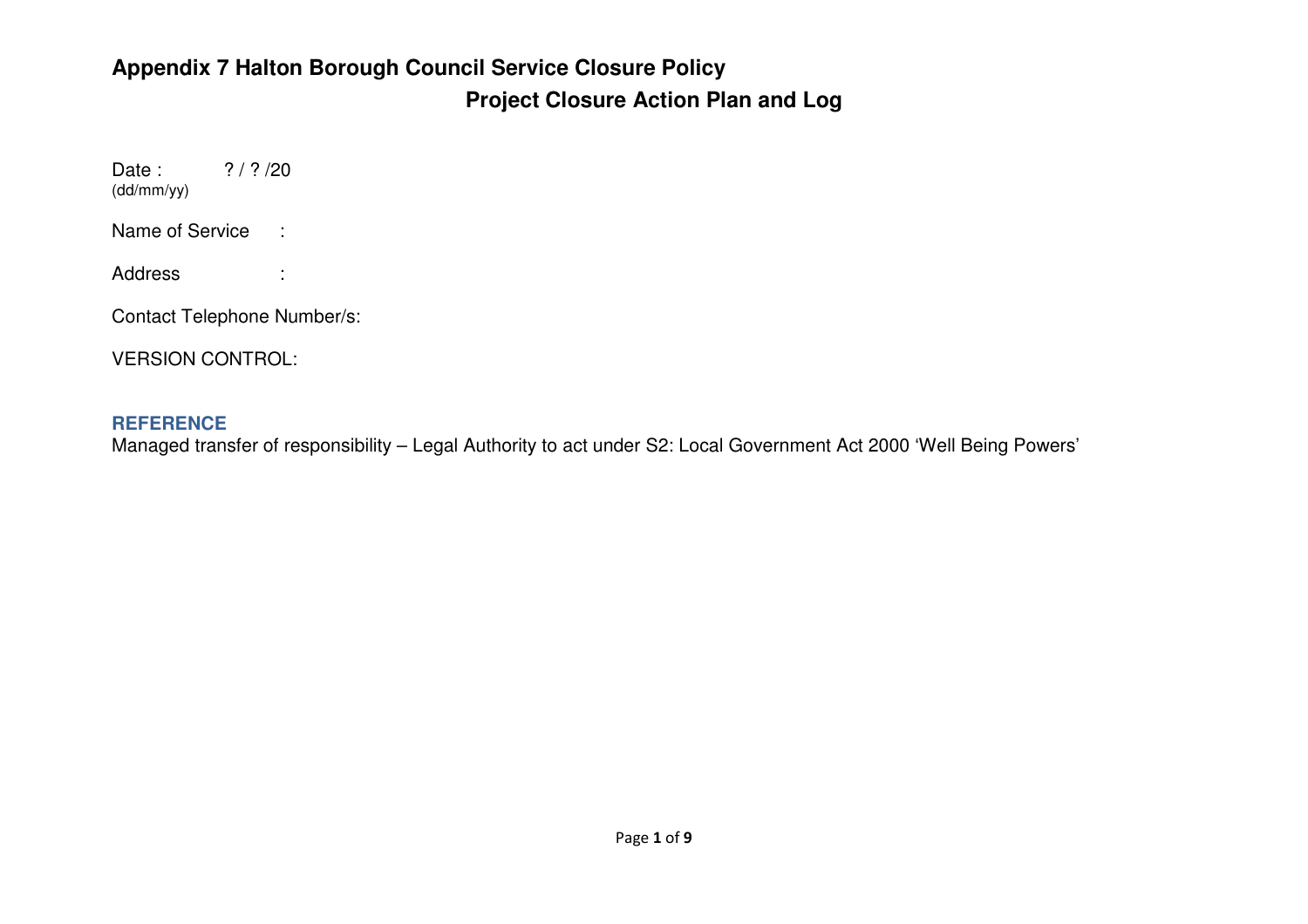#### **Appendix 7 Halton Borough Council Service Closure Policy Project Closure Action Plan and Log**

Date:  $? / ? / 20$ (dd/mm/yy)

Name of Service :

Address :

Contact Telephone Number/s:

VERSION CONTROL:

#### **REFERENCE**

Managed transfer of responsibility – Legal Authority to act under S2: Local Government Act 2000 'Well Being Powers'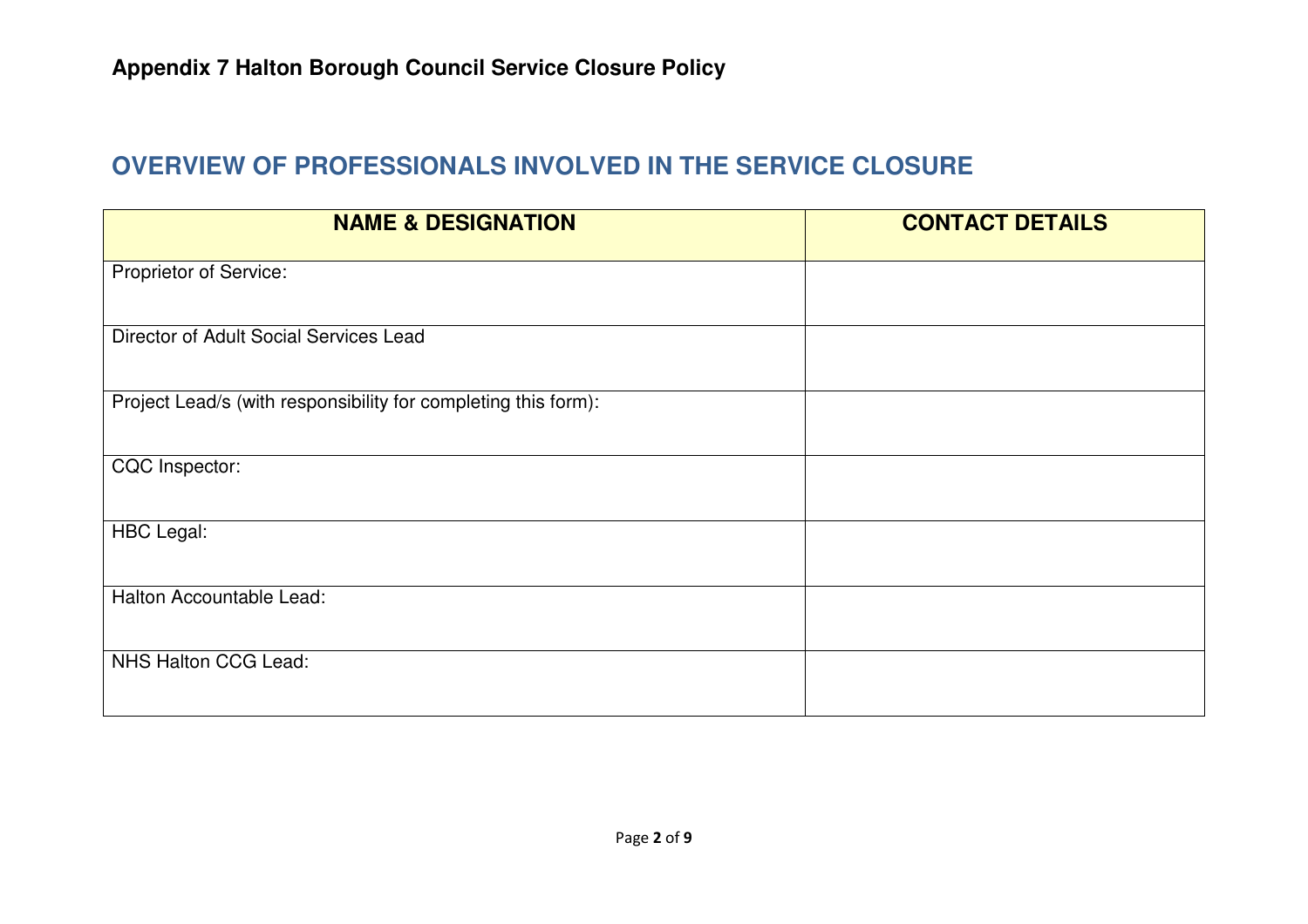#### **OVERVIEW OF PROFESSIONALS INVOLVED IN THE SERVICE CLOSURE**

| <b>NAME &amp; DESIGNATION</b>                                  | <b>CONTACT DETAILS</b> |
|----------------------------------------------------------------|------------------------|
| Proprietor of Service:                                         |                        |
| Director of Adult Social Services Lead                         |                        |
| Project Lead/s (with responsibility for completing this form): |                        |
| CQC Inspector:                                                 |                        |
| <b>HBC</b> Legal:                                              |                        |
| Halton Accountable Lead:                                       |                        |
| NHS Halton CCG Lead:                                           |                        |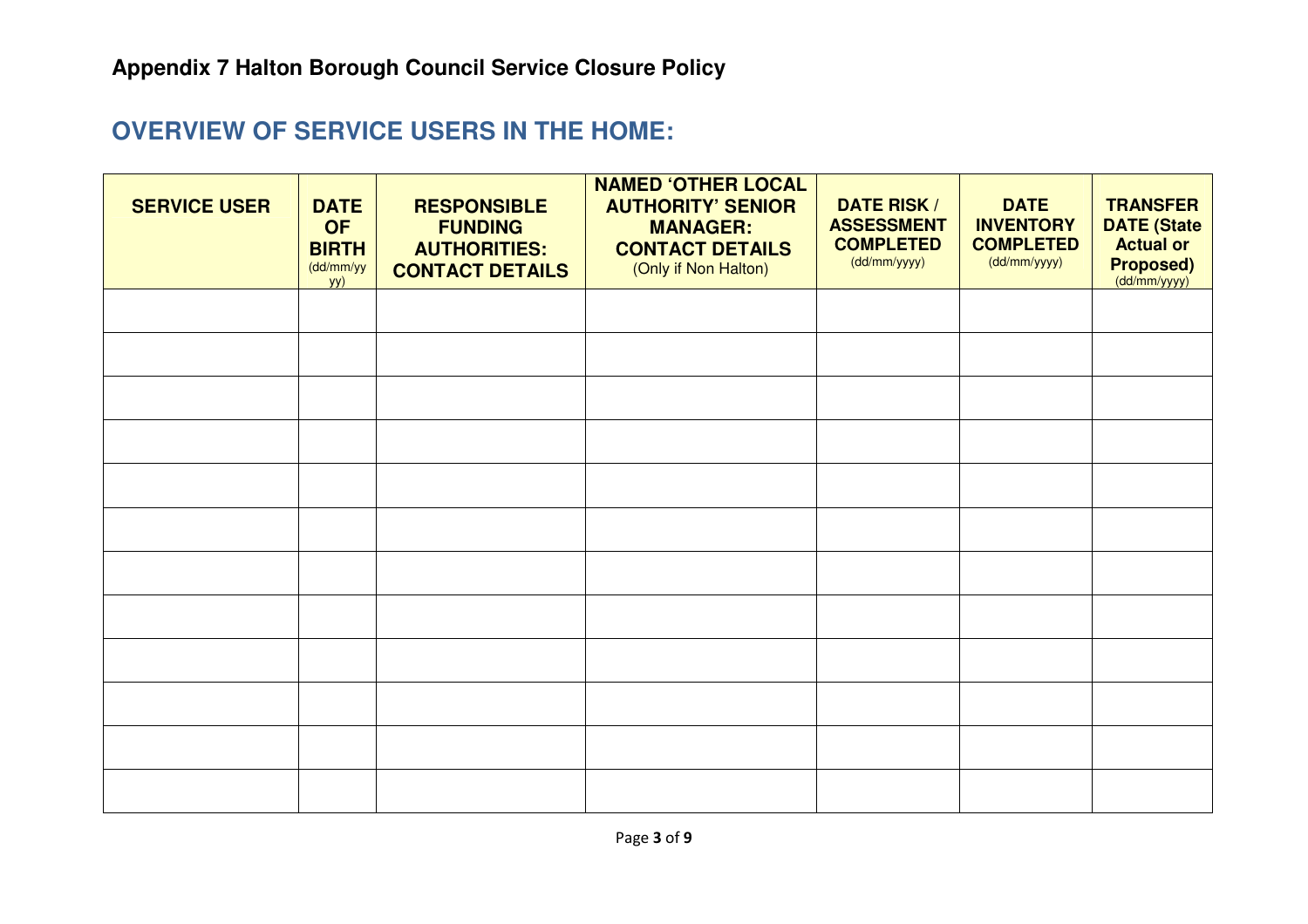#### **OVERVIEW OF SERVICE USERS IN THE HOME:**

| <b>SERVICE USER</b> | <b>DATE</b><br><b>OF</b><br><b>BIRTH</b><br>(dd/mm/yy<br>yy) | <b>RESPONSIBLE</b><br><b>FUNDING</b><br><b>AUTHORITIES:</b><br><b>CONTACT DETAILS</b> | <b>NAMED 'OTHER LOCAL</b><br><b>AUTHORITY' SENIOR</b><br><b>MANAGER:</b><br><b>CONTACT DETAILS</b><br>(Only if Non Halton) | <b>DATE RISK /</b><br><b>ASSESSMENT</b><br><b>COMPLETED</b><br>(dd/mm/yyyy) | <b>DATE</b><br><b>INVENTORY</b><br><b>COMPLETED</b><br>(dd/mm/yyyy) | <b>TRANSFER</b><br><b>DATE (State</b><br><b>Actual or</b><br>Proposed)<br>(dd/mm/yyyy) |
|---------------------|--------------------------------------------------------------|---------------------------------------------------------------------------------------|----------------------------------------------------------------------------------------------------------------------------|-----------------------------------------------------------------------------|---------------------------------------------------------------------|----------------------------------------------------------------------------------------|
|                     |                                                              |                                                                                       |                                                                                                                            |                                                                             |                                                                     |                                                                                        |
|                     |                                                              |                                                                                       |                                                                                                                            |                                                                             |                                                                     |                                                                                        |
|                     |                                                              |                                                                                       |                                                                                                                            |                                                                             |                                                                     |                                                                                        |
|                     |                                                              |                                                                                       |                                                                                                                            |                                                                             |                                                                     |                                                                                        |
|                     |                                                              |                                                                                       |                                                                                                                            |                                                                             |                                                                     |                                                                                        |
|                     |                                                              |                                                                                       |                                                                                                                            |                                                                             |                                                                     |                                                                                        |
|                     |                                                              |                                                                                       |                                                                                                                            |                                                                             |                                                                     |                                                                                        |
|                     |                                                              |                                                                                       |                                                                                                                            |                                                                             |                                                                     |                                                                                        |
|                     |                                                              |                                                                                       |                                                                                                                            |                                                                             |                                                                     |                                                                                        |
|                     |                                                              |                                                                                       |                                                                                                                            |                                                                             |                                                                     |                                                                                        |
|                     |                                                              |                                                                                       |                                                                                                                            |                                                                             |                                                                     |                                                                                        |
|                     |                                                              |                                                                                       |                                                                                                                            |                                                                             |                                                                     |                                                                                        |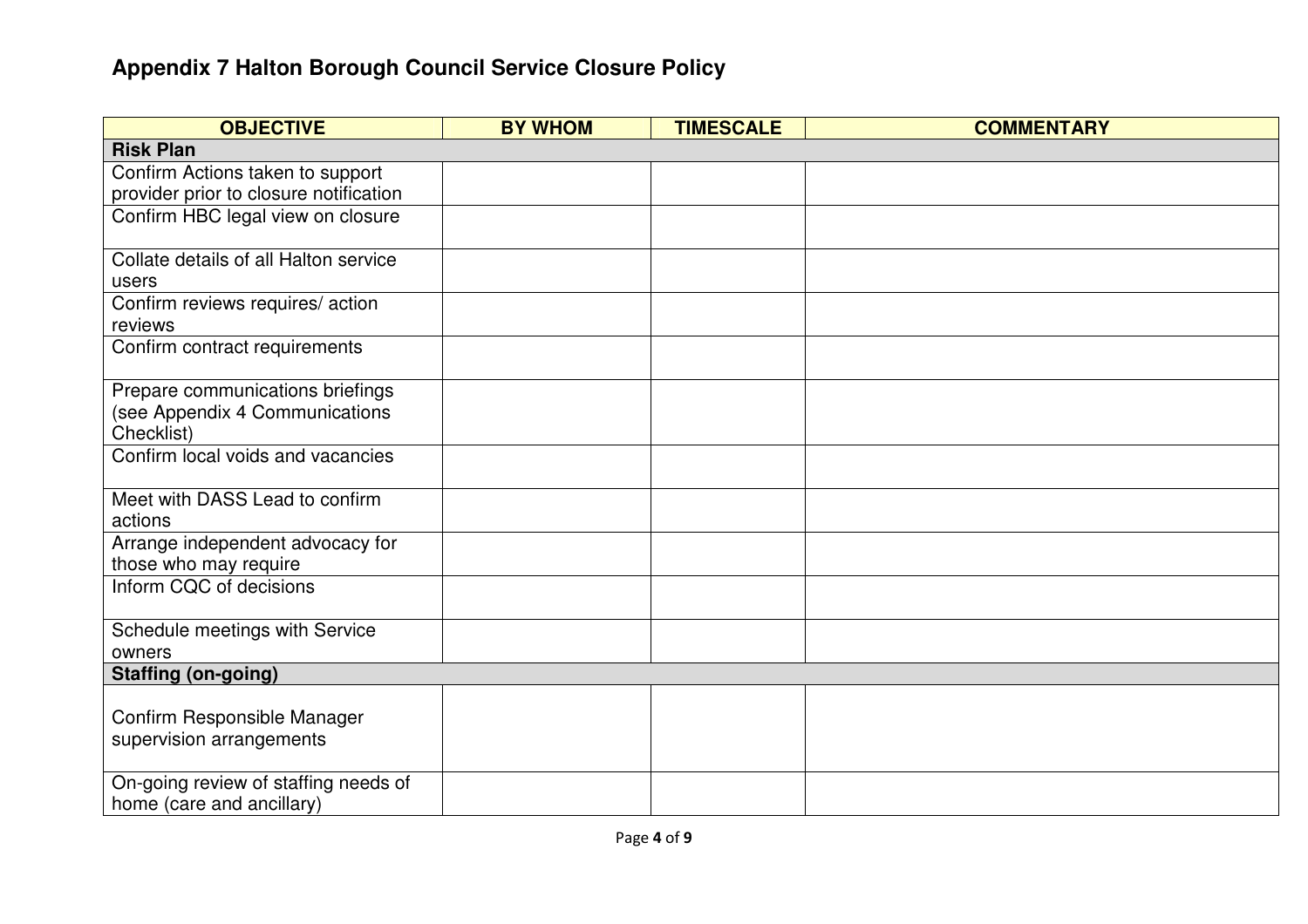| <b>OBJECTIVE</b>                                          | <b>BY WHOM</b> | <b>TIMESCALE</b> | <b>COMMENTARY</b> |
|-----------------------------------------------------------|----------------|------------------|-------------------|
| <b>Risk Plan</b>                                          |                |                  |                   |
| Confirm Actions taken to support                          |                |                  |                   |
| provider prior to closure notification                    |                |                  |                   |
| Confirm HBC legal view on closure                         |                |                  |                   |
| Collate details of all Halton service                     |                |                  |                   |
| users                                                     |                |                  |                   |
| Confirm reviews requires/ action                          |                |                  |                   |
| reviews                                                   |                |                  |                   |
| Confirm contract requirements                             |                |                  |                   |
| Prepare communications briefings                          |                |                  |                   |
| (see Appendix 4 Communications                            |                |                  |                   |
| Checklist)                                                |                |                  |                   |
| Confirm local voids and vacancies                         |                |                  |                   |
| Meet with DASS Lead to confirm                            |                |                  |                   |
| actions                                                   |                |                  |                   |
| Arrange independent advocacy for<br>those who may require |                |                  |                   |
| Inform CQC of decisions                                   |                |                  |                   |
|                                                           |                |                  |                   |
| Schedule meetings with Service<br>owners                  |                |                  |                   |
| <b>Staffing (on-going)</b>                                |                |                  |                   |
|                                                           |                |                  |                   |
| Confirm Responsible Manager                               |                |                  |                   |
| supervision arrangements                                  |                |                  |                   |
|                                                           |                |                  |                   |
| On-going review of staffing needs of                      |                |                  |                   |
| home (care and ancillary)                                 |                |                  |                   |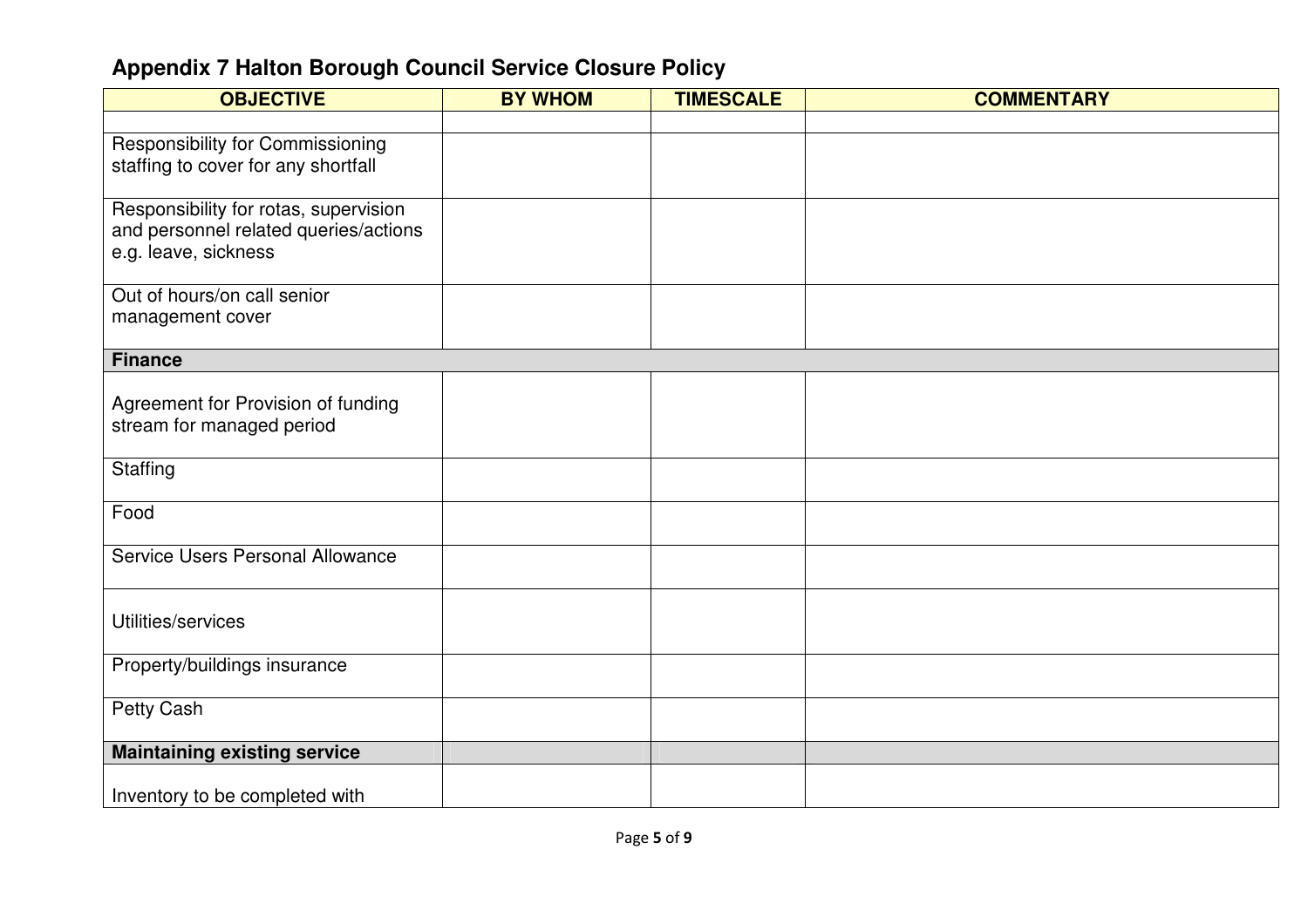| <b>OBJECTIVE</b>                        | <b>BY WHOM</b> | <b>TIMESCALE</b> | <b>COMMENTARY</b> |
|-----------------------------------------|----------------|------------------|-------------------|
|                                         |                |                  |                   |
| <b>Responsibility for Commissioning</b> |                |                  |                   |
| staffing to cover for any shortfall     |                |                  |                   |
| Responsibility for rotas, supervision   |                |                  |                   |
| and personnel related queries/actions   |                |                  |                   |
| e.g. leave, sickness                    |                |                  |                   |
|                                         |                |                  |                   |
| Out of hours/on call senior             |                |                  |                   |
| management cover                        |                |                  |                   |
| <b>Finance</b>                          |                |                  |                   |
|                                         |                |                  |                   |
| Agreement for Provision of funding      |                |                  |                   |
| stream for managed period               |                |                  |                   |
| Staffing                                |                |                  |                   |
|                                         |                |                  |                   |
| Food                                    |                |                  |                   |
|                                         |                |                  |                   |
| Service Users Personal Allowance        |                |                  |                   |
|                                         |                |                  |                   |
| Utilities/services                      |                |                  |                   |
|                                         |                |                  |                   |
| Property/buildings insurance            |                |                  |                   |
| Petty Cash                              |                |                  |                   |
|                                         |                |                  |                   |
| <b>Maintaining existing service</b>     |                |                  |                   |
|                                         |                |                  |                   |
| Inventory to be completed with          |                |                  |                   |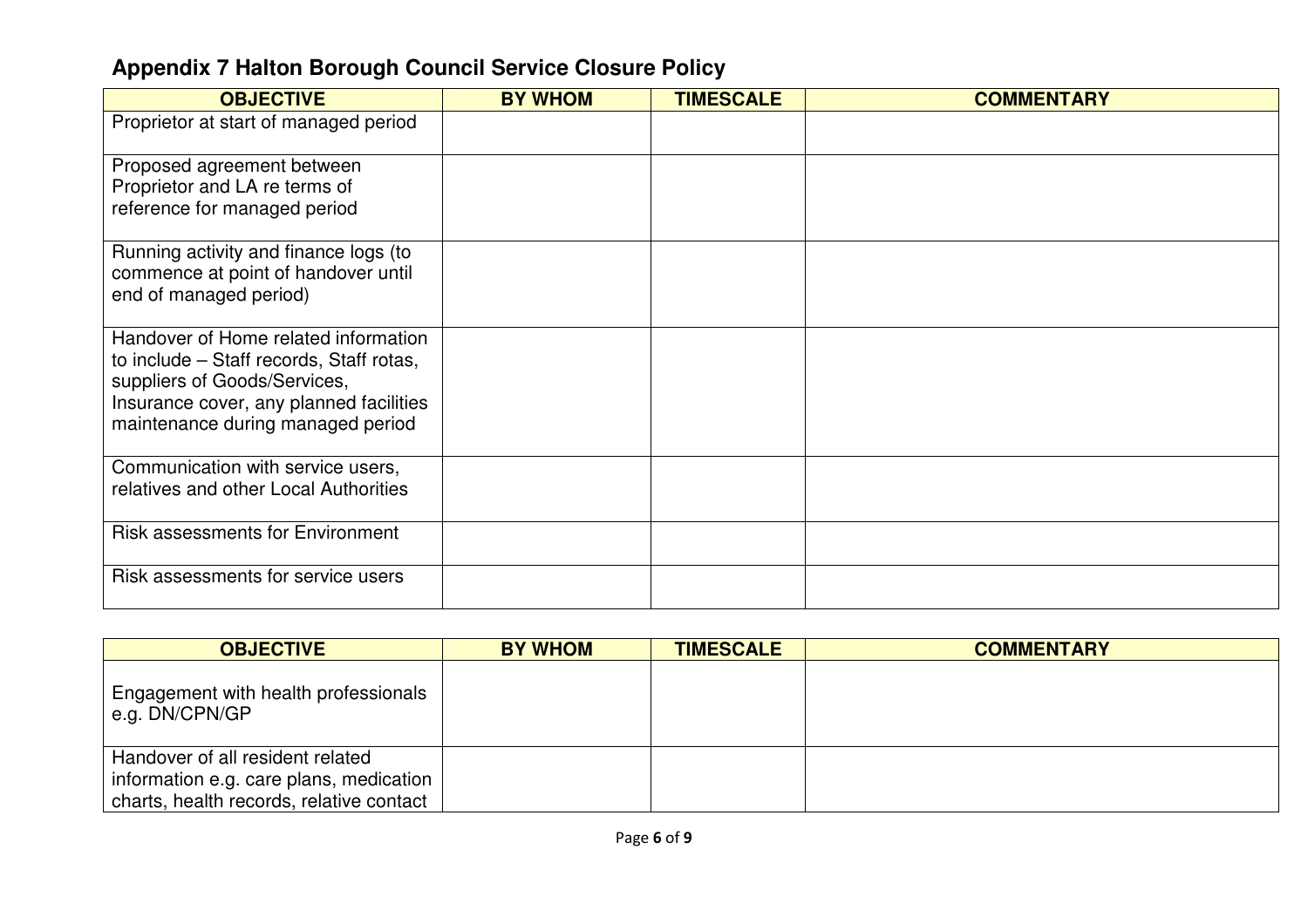| <b>OBJECTIVE</b>                                                         | <b>BY WHOM</b> | <b>TIMESCALE</b> | <b>COMMENTARY</b> |
|--------------------------------------------------------------------------|----------------|------------------|-------------------|
| Proprietor at start of managed period                                    |                |                  |                   |
| Proposed agreement between                                               |                |                  |                   |
| Proprietor and LA re terms of                                            |                |                  |                   |
| reference for managed period                                             |                |                  |                   |
| Running activity and finance logs (to                                    |                |                  |                   |
| commence at point of handover until                                      |                |                  |                   |
| end of managed period)                                                   |                |                  |                   |
| Handover of Home related information                                     |                |                  |                   |
| to include – Staff records, Staff rotas,<br>suppliers of Goods/Services, |                |                  |                   |
| Insurance cover, any planned facilities                                  |                |                  |                   |
| maintenance during managed period                                        |                |                  |                   |
|                                                                          |                |                  |                   |
| Communication with service users,                                        |                |                  |                   |
| relatives and other Local Authorities                                    |                |                  |                   |
| <b>Risk assessments for Environment</b>                                  |                |                  |                   |
| Risk assessments for service users                                       |                |                  |                   |
|                                                                          |                |                  |                   |

| <b>OBJECTIVE</b>                                                                                                        | <b>BY WHOM</b> | <b>TIMESCALE</b> | <b>COMMENTARY</b> |
|-------------------------------------------------------------------------------------------------------------------------|----------------|------------------|-------------------|
| Engagement with health professionals<br>e.g. DN/CPN/GP                                                                  |                |                  |                   |
| Handover of all resident related<br>information e.g. care plans, medication<br>charts, health records, relative contact |                |                  |                   |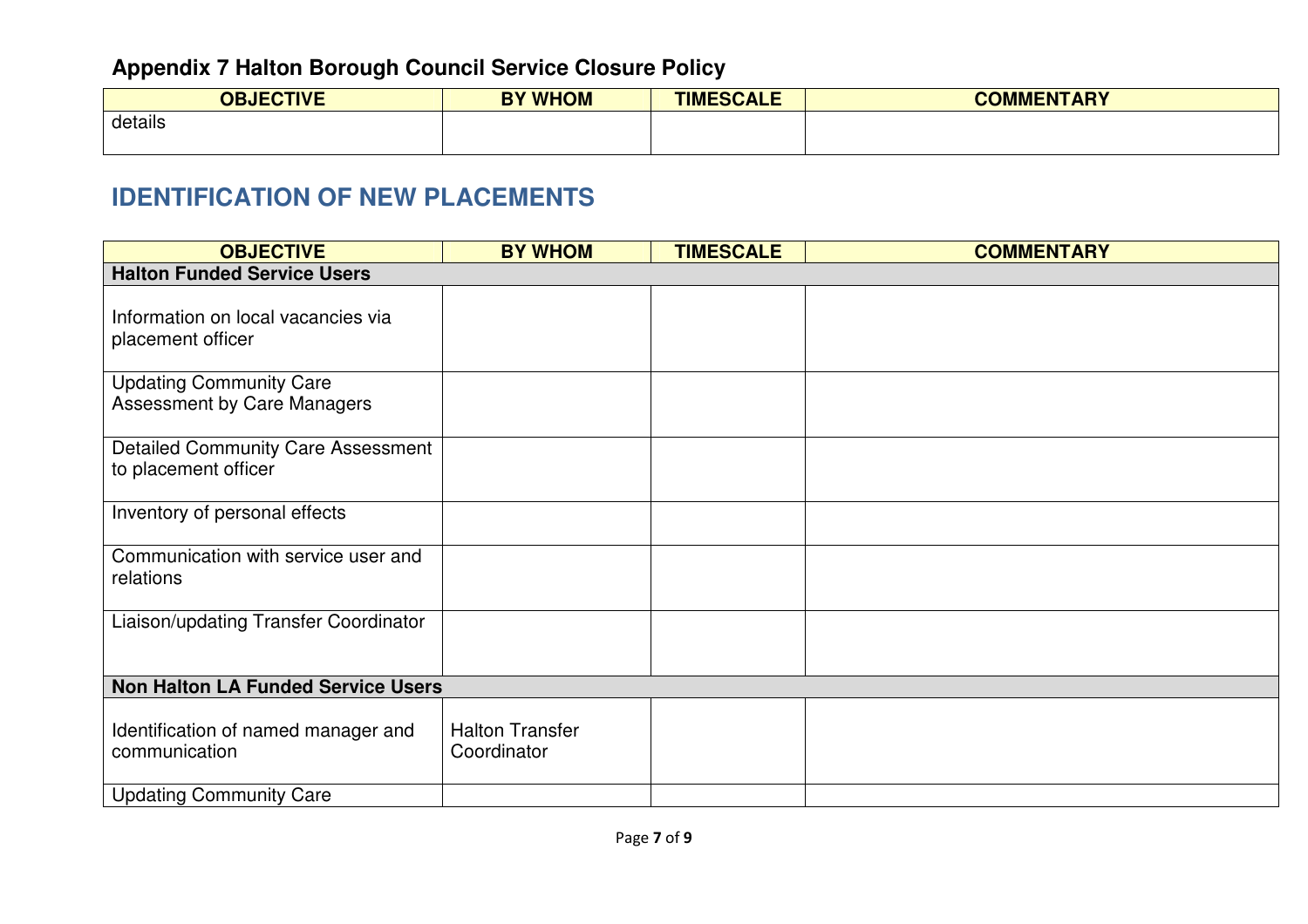| <b>OBJECTIVE</b><br>1 V L | <b>BY WHOM</b> | <b>TIMESCALE</b> | <b>COMMENTADY</b><br>VIMEN.<br><b>ART</b> |
|---------------------------|----------------|------------------|-------------------------------------------|
| details                   |                |                  |                                           |
|                           |                |                  |                                           |

#### **IDENTIFICATION OF NEW PLACEMENTS**

| <b>OBJECTIVE</b>                                                     | <b>BY WHOM</b>                        | <b>TIMESCALE</b> | <b>COMMENTARY</b> |
|----------------------------------------------------------------------|---------------------------------------|------------------|-------------------|
| <b>Halton Funded Service Users</b>                                   |                                       |                  |                   |
| Information on local vacancies via<br>placement officer              |                                       |                  |                   |
| <b>Updating Community Care</b><br><b>Assessment by Care Managers</b> |                                       |                  |                   |
| <b>Detailed Community Care Assessment</b><br>to placement officer    |                                       |                  |                   |
| Inventory of personal effects                                        |                                       |                  |                   |
| Communication with service user and<br>relations                     |                                       |                  |                   |
| Liaison/updating Transfer Coordinator                                |                                       |                  |                   |
| <b>Non Halton LA Funded Service Users</b>                            |                                       |                  |                   |
| Identification of named manager and<br>communication                 | <b>Halton Transfer</b><br>Coordinator |                  |                   |
| <b>Updating Community Care</b>                                       |                                       |                  |                   |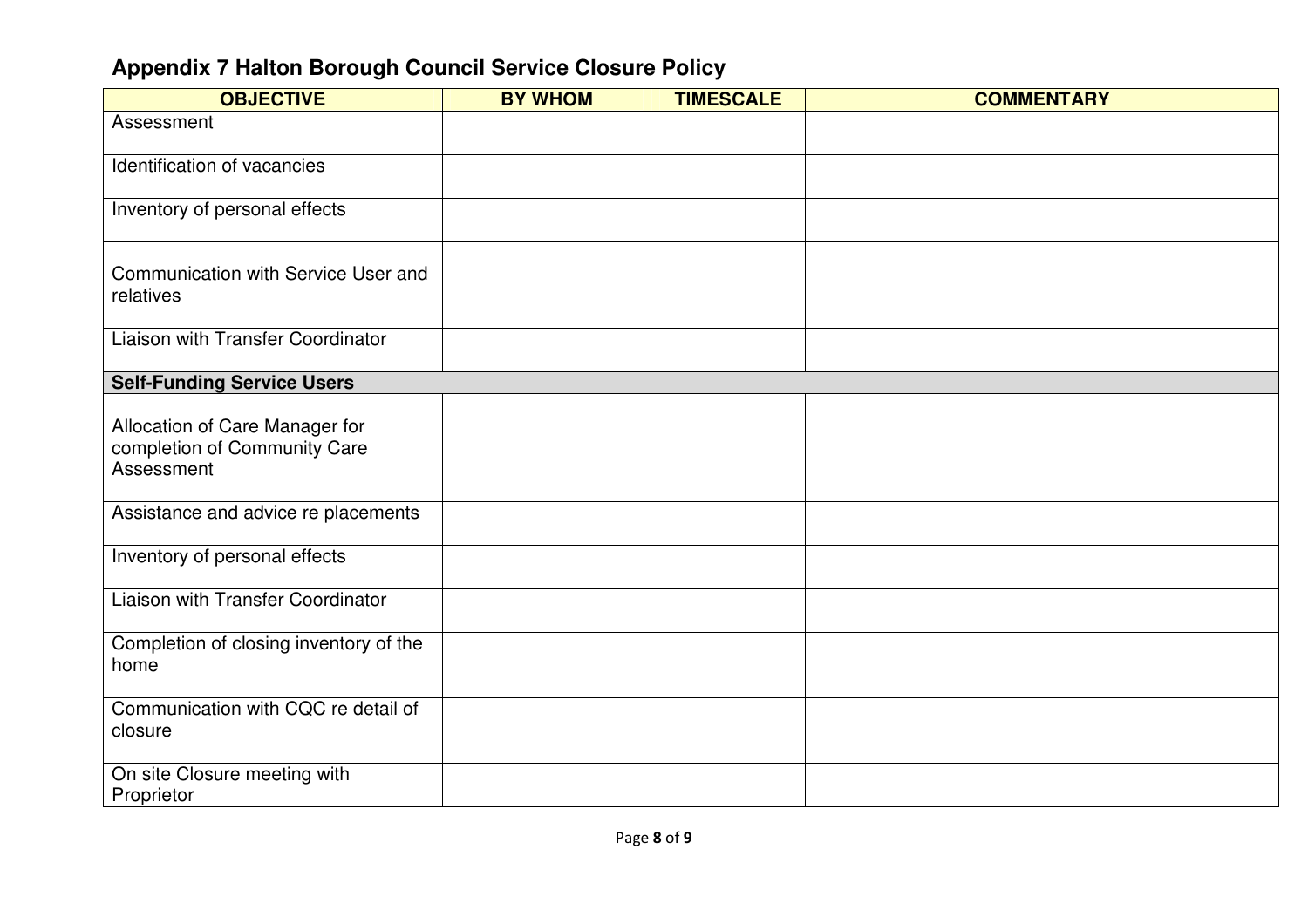| <b>OBJECTIVE</b>                                                             | <b>BY WHOM</b> | <b>TIMESCALE</b> | <b>COMMENTARY</b> |
|------------------------------------------------------------------------------|----------------|------------------|-------------------|
| Assessment                                                                   |                |                  |                   |
| Identification of vacancies                                                  |                |                  |                   |
| Inventory of personal effects                                                |                |                  |                   |
| Communication with Service User and<br>relatives                             |                |                  |                   |
| Liaison with Transfer Coordinator                                            |                |                  |                   |
| <b>Self-Funding Service Users</b>                                            |                |                  |                   |
| Allocation of Care Manager for<br>completion of Community Care<br>Assessment |                |                  |                   |
| Assistance and advice re placements                                          |                |                  |                   |
| Inventory of personal effects                                                |                |                  |                   |
| Liaison with Transfer Coordinator                                            |                |                  |                   |
| Completion of closing inventory of the<br>home                               |                |                  |                   |
| Communication with CQC re detail of<br>closure                               |                |                  |                   |
| On site Closure meeting with<br>Proprietor                                   |                |                  |                   |